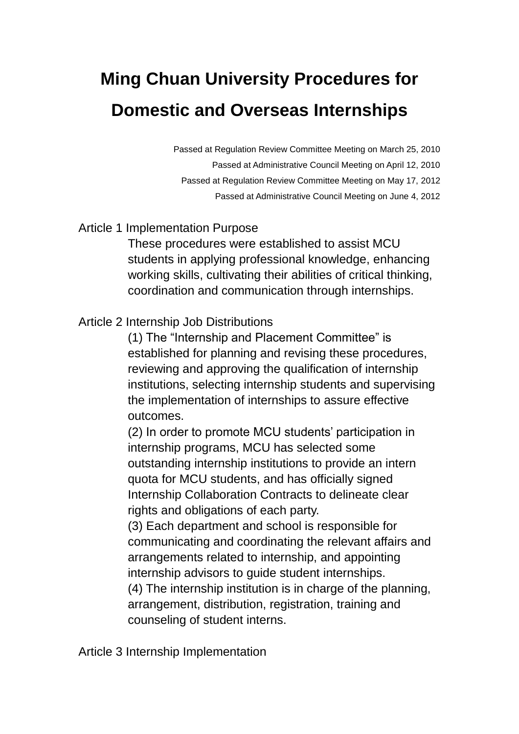## **Ming Chuan University Procedures for Domestic and Overseas Internships**

Passed at Regulation Review Committee Meeting on March 25, 2010 Passed at Administrative Council Meeting on April 12, 2010 Passed at Regulation Review Committee Meeting on May 17, 2012 Passed at Administrative Council Meeting on June 4, 2012

## Article 1 Implementation Purpose

These procedures were established to assist MCU students in applying professional knowledge, enhancing working skills, cultivating their abilities of critical thinking, coordination and communication through internships.

## Article 2 Internship Job Distributions

(1) The "Internship and Placement Committee" is established for planning and revising these procedures, reviewing and approving the qualification of internship institutions, selecting internship students and supervising the implementation of internships to assure effective outcomes.

(2) In order to promote MCU students' participation in internship programs, MCU has selected some outstanding internship institutions to provide an intern quota for MCU students, and has officially signed Internship Collaboration Contracts to delineate clear rights and obligations of each party.

(3) Each department and school is responsible for communicating and coordinating the relevant affairs and arrangements related to internship, and appointing internship advisors to guide student internships.

(4) The internship institution is in charge of the planning, arrangement, distribution, registration, training and counseling of student interns.

Article 3 Internship Implementation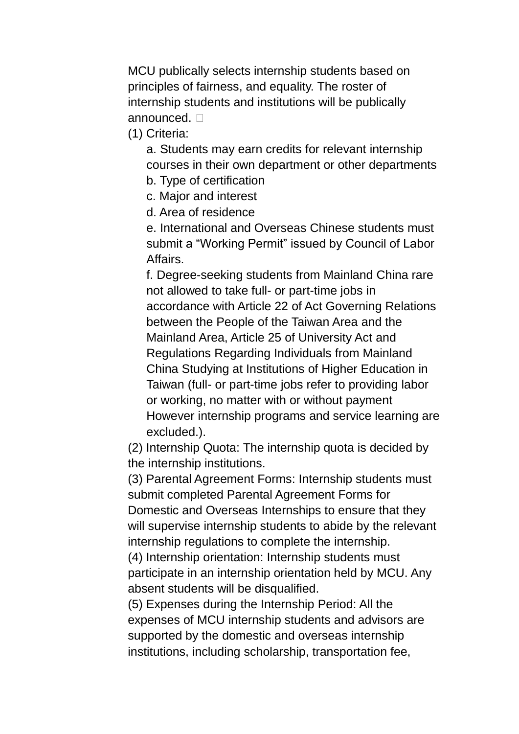MCU publically selects internship students based on principles of fairness, and equality. The roster of internship students and institutions will be publically announced.  $\Box$ 

(1) Criteria:

a. Students may earn credits for relevant internship courses in their own department or other departments

b. Type of certification

c. Major and interest

d. Area of residence

e. International and Overseas Chinese students must submit a "Working Permit" issued by Council of Labor Affairs.

f. Degree-seeking students from Mainland China rare not allowed to take full- or part-time jobs in accordance with Article 22 of Act Governing Relations between the People of the Taiwan Area and the Mainland Area, Article 25 of University Act and Regulations Regarding Individuals from Mainland China Studying at Institutions of Higher Education in Taiwan (full- or part-time jobs refer to providing labor or working, no matter with or without payment However internship programs and service learning are excluded.).

(2) Internship Quota: The internship quota is decided by the internship institutions.

(3) Parental Agreement Forms: Internship students must submit completed Parental Agreement Forms for Domestic and Overseas Internships to ensure that they will supervise internship students to abide by the relevant internship regulations to complete the internship.

(4) Internship orientation: Internship students must participate in an internship orientation held by MCU. Any absent students will be disqualified.

(5) Expenses during the Internship Period: All the expenses of MCU internship students and advisors are supported by the domestic and overseas internship institutions, including scholarship, transportation fee,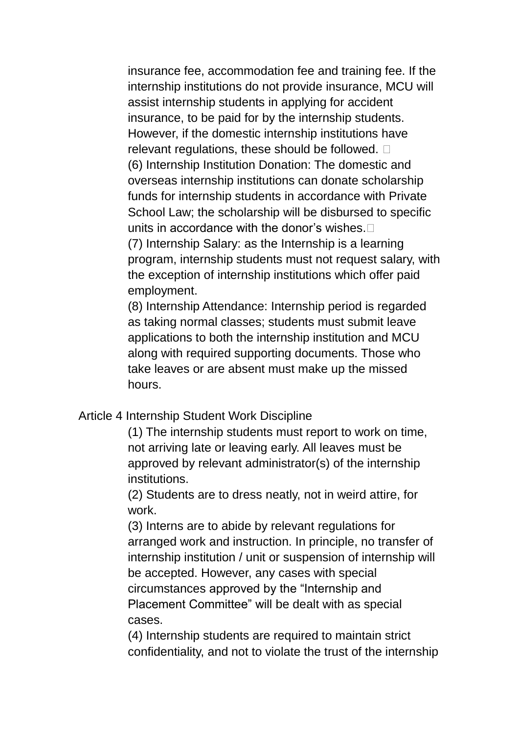insurance fee, accommodation fee and training fee. If the internship institutions do not provide insurance, MCU will assist internship students in applying for accident insurance, to be paid for by the internship students. However, if the domestic internship institutions have relevant regulations, these should be followed. (6) Internship Institution Donation: The domestic and overseas internship institutions can donate scholarship funds for internship students in accordance with Private School Law; the scholarship will be disbursed to specific units in accordance with the donor's wishes. (7) Internship Salary: as the Internship is a learning program, internship students must not request salary, with the exception of internship institutions which offer paid employment.

(8) Internship Attendance: Internship period is regarded as taking normal classes; students must submit leave applications to both the internship institution and MCU along with required supporting documents. Those who take leaves or are absent must make up the missed hours.

## Article 4 Internship Student Work Discipline

(1) The internship students must report to work on time, not arriving late or leaving early. All leaves must be approved by relevant administrator(s) of the internship institutions.

(2) Students are to dress neatly, not in weird attire, for work.

(3) Interns are to abide by relevant regulations for arranged work and instruction. In principle, no transfer of internship institution / unit or suspension of internship will be accepted. However, any cases with special circumstances approved by the "Internship and Placement Committee" will be dealt with as special cases.

(4) Internship students are required to maintain strict confidentiality, and not to violate the trust of the internship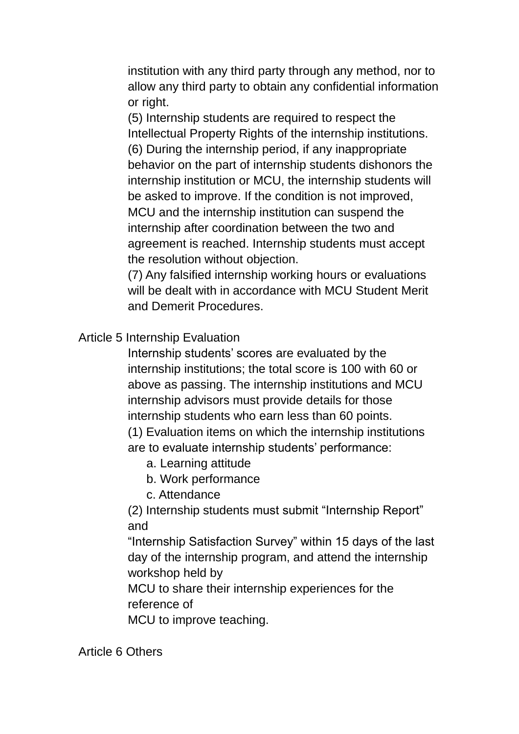institution with any third party through any method, nor to allow any third party to obtain any confidential information or right.

(5) Internship students are required to respect the Intellectual Property Rights of the internship institutions. (6) During the internship period, if any inappropriate behavior on the part of internship students dishonors the internship institution or MCU, the internship students will be asked to improve. If the condition is not improved, MCU and the internship institution can suspend the internship after coordination between the two and agreement is reached. Internship students must accept the resolution without objection.

(7) Any falsified internship working hours or evaluations will be dealt with in accordance with MCU Student Merit and Demerit Procedures.

Article 5 Internship Evaluation

Internship students' scores are evaluated by the internship institutions; the total score is 100 with 60 or above as passing. The internship institutions and MCU internship advisors must provide details for those internship students who earn less than 60 points. (1) Evaluation items on which the internship institutions

are to evaluate internship students' performance:

- a. Learning attitude
- b. Work performance
- c. Attendance

(2) Internship students must submit "Internship Report" and

"Internship Satisfaction Survey" within 15 days of the last day of the internship program, and attend the internship workshop held by

MCU to share their internship experiences for the reference of

MCU to improve teaching.

Article 6 Others